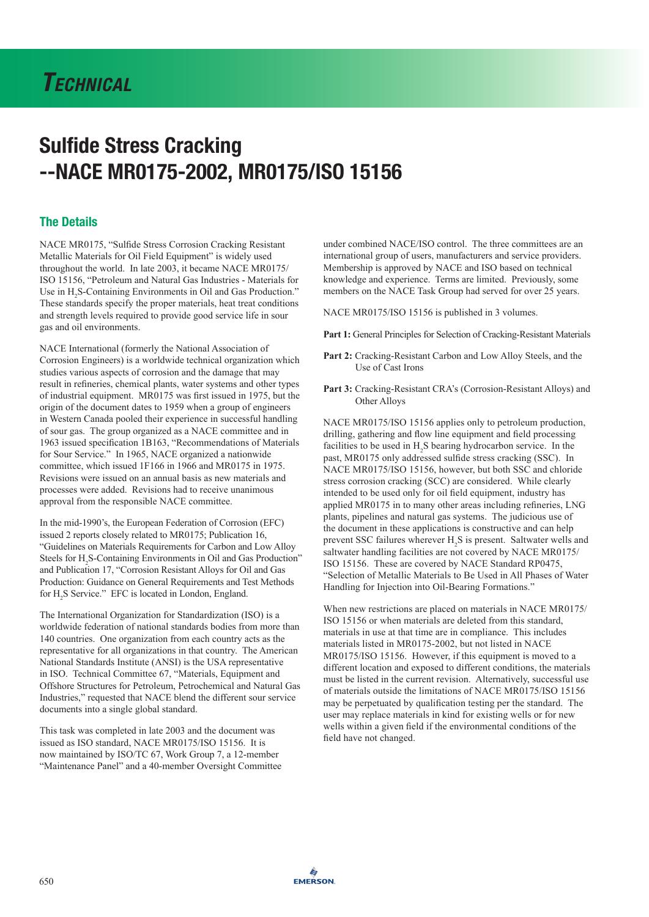# *Technical*

# Sulfide Stress Cracking --NACE MR0175-2002, MR0175/ISO 15156

## The Details

NACE MR0175, "Sulfide Stress Corrosion Cracking Resistant Metallic Materials for Oil Field Equipment" is widely used throughout the world. In late 2003, it became NACE MR0175/ ISO 15156, "Petroleum and Natural Gas Industries - Materials for Use in  $H_2S$ -Containing Environments in Oil and Gas Production." These standards specify the proper materials, heat treat conditions and strength levels required to provide good service life in sour gas and oil environments.

NACE International (formerly the National Association of Corrosion Engineers) is a worldwide technical organization which studies various aspects of corrosion and the damage that may result in refineries, chemical plants, water systems and other types of industrial equipment. MR0175 was first issued in 1975, but the origin of the document dates to 1959 when a group of engineers in Western Canada pooled their experience in successful handling of sour gas. The group organized as a NACE committee and in 1963 issued specification 1B163, "Recommendations of Materials for Sour Service." In 1965, NACE organized a nationwide committee, which issued 1F166 in 1966 and MR0175 in 1975. Revisions were issued on an annual basis as new materials and processes were added. Revisions had to receive unanimous approval from the responsible NACE committee.

In the mid-1990's, the European Federation of Corrosion (EFC) issued 2 reports closely related to MR0175; Publication 16, "Guidelines on Materials Requirements for Carbon and Low Alloy Steels for H<sub>2</sub>S-Containing Environments in Oil and Gas Production" and Publication 17, "Corrosion Resistant Alloys for Oil and Gas Production: Guidance on General Requirements and Test Methods for H<sub>2</sub>S Service." EFC is located in London, England.

The International Organization for Standardization (ISO) is a worldwide federation of national standards bodies from more than 140 countries. One organization from each country acts as the representative for all organizations in that country. The American National Standards Institute (ANSI) is the USA representative in ISO. Technical Committee 67, "Materials, Equipment and Offshore Structures for Petroleum, Petrochemical and Natural Gas Industries," requested that NACE blend the different sour service documents into a single global standard.

This task was completed in late 2003 and the document was issued as ISO standard, NACE MR0175/ISO 15156. It is now maintained by ISO/TC 67, Work Group 7, a 12-member "Maintenance Panel" and a 40-member Oversight Committee

under combined NACE/ISO control. The three committees are an international group of users, manufacturers and service providers. Membership is approved by NACE and ISO based on technical knowledge and experience. Terms are limited. Previously, some members on the NACE Task Group had served for over 25 years.

NACE MR0175/ISO 15156 is published in 3 volumes.

**Part 1:** General Principles for Selection of Cracking-Resistant Materials

- **Part 2:** Cracking-Resistant Carbon and Low Alloy Steels, and the Use of Cast Irons
- **Part 3:** Cracking-Resistant CRA's (Corrosion-Resistant Alloys) and Other Alloys

NACE MR0175/ISO 15156 applies only to petroleum production, drilling, gathering and flow line equipment and field processing facilities to be used in  $H_2S$  bearing hydrocarbon service. In the past, MR0175 only addressed sulfide stress cracking (SSC). In NACE MR0175/ISO 15156, however, but both SSC and chloride stress corrosion cracking (SCC) are considered. While clearly intended to be used only for oil field equipment, industry has applied MR0175 in to many other areas including refineries, LNG plants, pipelines and natural gas systems. The judicious use of the document in these applications is constructive and can help prevent SSC failures wherever  $H_2S$  is present. Saltwater wells and saltwater handling facilities are not covered by NACE MR0175/ ISO 15156. These are covered by NACE Standard RP0475, "Selection of Metallic Materials to Be Used in All Phases of Water Handling for Injection into Oil-Bearing Formations."

When new restrictions are placed on materials in NACE MR0175/ ISO 15156 or when materials are deleted from this standard, materials in use at that time are in compliance. This includes materials listed in MR0175-2002, but not listed in NACE MR0175/ISO 15156. However, if this equipment is moved to a different location and exposed to different conditions, the materials must be listed in the current revision. Alternatively, successful use of materials outside the limitations of NACE MR0175/ISO 15156 may be perpetuated by qualification testing per the standard. The user may replace materials in kind for existing wells or for new wells within a given field if the environmental conditions of the field have not changed.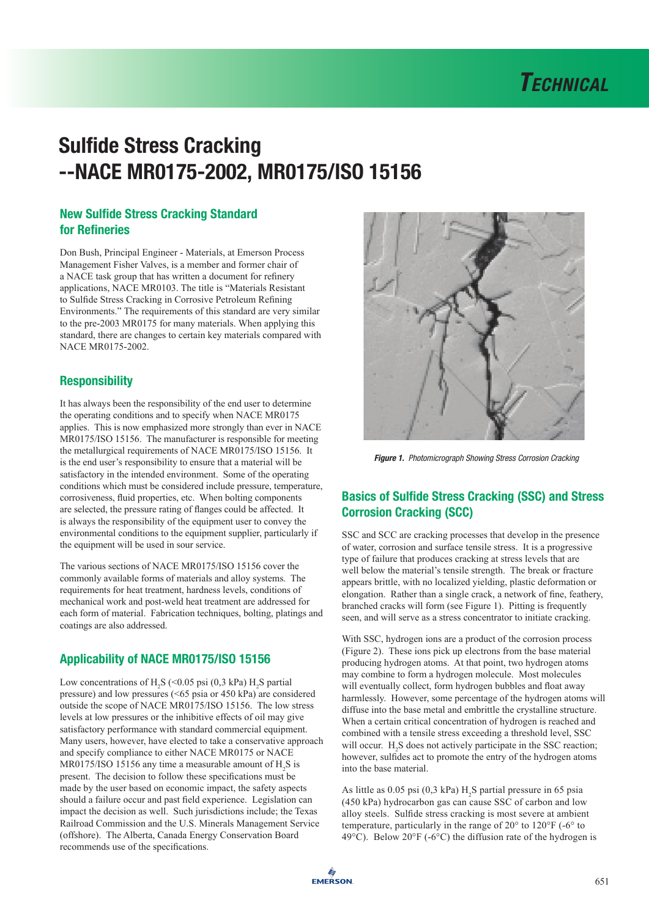

# New Sulfide Stress Cracking Standard for Refineries

Don Bush, Principal Engineer - Materials, at Emerson Process Management Fisher Valves, is a member and former chair of a NACE task group that has written a document for refinery applications, NACE MR0103. The title is "Materials Resistant to Sulfide Stress Cracking in Corrosive Petroleum Refining Environments." The requirements of this standard are very similar to the pre-2003 MR0175 for many materials. When applying this standard, there are changes to certain key materials compared with NACE MR0175-2002.

# **Responsibility**

It has always been the responsibility of the end user to determine the operating conditions and to specify when NACE MR0175 applies. This is now emphasized more strongly than ever in NACE MR0175/ISO 15156. The manufacturer is responsible for meeting the metallurgical requirements of NACE MR0175/ISO 15156. It is the end user's responsibility to ensure that a material will be satisfactory in the intended environment. Some of the operating conditions which must be considered include pressure, temperature, corrosiveness, fluid properties, etc. When bolting components are selected, the pressure rating of flanges could be affected. It is always the responsibility of the equipment user to convey the environmental conditions to the equipment supplier, particularly if the equipment will be used in sour service.

The various sections of NACE MR0175/ISO 15156 cover the commonly available forms of materials and alloy systems. The requirements for heat treatment, hardness levels, conditions of mechanical work and post-weld heat treatment are addressed for each form of material. Fabrication techniques, bolting, platings and coatings are also addressed.

# Applicability of NACE MR0175/ISO 15156

Low concentrations of  $H_2S$  (<0.05 psi (0,3 kPa)  $H_2S$  partial pressure) and low pressures (<65 psia or 450 kPa) are considered outside the scope of NACE MR0175/ISO 15156. The low stress levels at low pressures or the inhibitive effects of oil may give satisfactory performance with standard commercial equipment. Many users, however, have elected to take a conservative approach and specify compliance to either NACE MR0175 or NACE MR0175/ISO 15156 any time a measurable amount of  $H_2S$  is present. The decision to follow these specifications must be made by the user based on economic impact, the safety aspects should a failure occur and past field experience. Legislation can impact the decision as well. Such jurisdictions include; the Texas Railroad Commission and the U.S. Minerals Management Service (offshore). The Alberta, Canada Energy Conservation Board recommends use of the specifications.



*Figure 1. Photomicrograph Showing Stress Corrosion Cracking*

# Basics of Sulfide Stress Cracking (SSC) and Stress Corrosion Cracking (SCC)

SSC and SCC are cracking processes that develop in the presence of water, corrosion and surface tensile stress. It is a progressive type of failure that produces cracking at stress levels that are well below the material's tensile strength. The break or fracture appears brittle, with no localized yielding, plastic deformation or elongation. Rather than a single crack, a network of fine, feathery, branched cracks will form (see Figure 1). Pitting is frequently seen, and will serve as a stress concentrator to initiate cracking.

With SSC, hydrogen ions are a product of the corrosion process (Figure 2). These ions pick up electrons from the base material producing hydrogen atoms. At that point, two hydrogen atoms may combine to form a hydrogen molecule. Most molecules will eventually collect, form hydrogen bubbles and float away harmlessly. However, some percentage of the hydrogen atoms will diffuse into the base metal and embrittle the crystalline structure. When a certain critical concentration of hydrogen is reached and combined with a tensile stress exceeding a threshold level, SSC will occur.  $H_2S$  does not actively participate in the SSC reaction; however, sulfides act to promote the entry of the hydrogen atoms into the base material.

As little as  $0.05$  psi  $(0,3 \text{ kPa})$  H<sub>2</sub>S partial pressure in 65 psia (450 kPa) hydrocarbon gas can cause SSC of carbon and low alloy steels. Sulfide stress cracking is most severe at ambient temperature, particularly in the range of 20° to 120°F (-6° to 49 $^{\circ}$ C). Below 20 $^{\circ}$ F (-6 $^{\circ}$ C) the diffusion rate of the hydrogen is

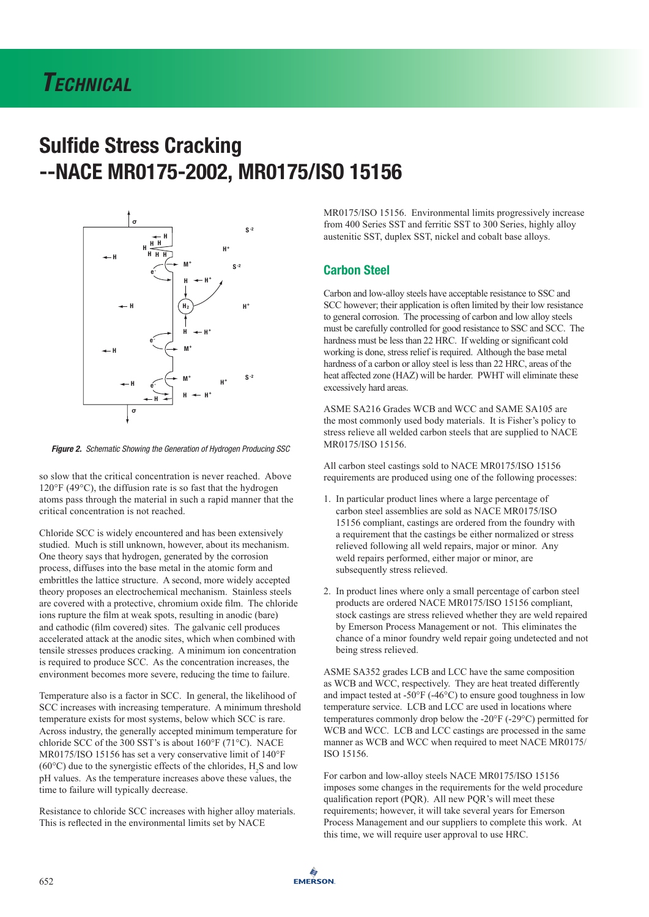# *Technical*

# Sulfide Stress Cracking --NACE MR0175-2002, MR0175/ISO 15156



*Figure 2. Schematic Showing the Generation of Hydrogen Producing SSC* 

so slow that the critical concentration is never reached. Above 120°F (49°C), the diffusion rate is so fast that the hydrogen atoms pass through the material in such a rapid manner that the critical concentration is not reached.

Chloride SCC is widely encountered and has been extensively studied. Much is still unknown, however, about its mechanism. One theory says that hydrogen, generated by the corrosion process, diffuses into the base metal in the atomic form and embrittles the lattice structure. A second, more widely accepted theory proposes an electrochemical mechanism. Stainless steels are covered with a protective, chromium oxide film. The chloride ions rupture the film at weak spots, resulting in anodic (bare) and cathodic (film covered) sites. The galvanic cell produces accelerated attack at the anodic sites, which when combined with tensile stresses produces cracking. A minimum ion concentration is required to produce SCC. As the concentration increases, the environment becomes more severe, reducing the time to failure.

Temperature also is a factor in SCC. In general, the likelihood of SCC increases with increasing temperature. A minimum threshold temperature exists for most systems, below which SCC is rare. Across industry, the generally accepted minimum temperature for chloride SCC of the 300 SST's is about 160°F (71°C). NACE MR0175/ISO 15156 has set a very conservative limit of 140°F (60 $^{\circ}$ C) due to the synergistic effects of the chlorides, H<sub>2</sub>S and low pH values. As the temperature increases above these values, the time to failure will typically decrease.

Resistance to chloride SCC increases with higher alloy materials. This is reflected in the environmental limits set by NACE

MR0175/ISO 15156. Environmental limits progressively increase from 400 Series SST and ferritic SST to 300 Series, highly alloy austenitic SST, duplex SST, nickel and cobalt base alloys.

## Carbon Steel

Carbon and low-alloy steels have acceptable resistance to SSC and SCC however; their application is often limited by their low resistance to general corrosion. The processing of carbon and low alloy steels must be carefully controlled for good resistance to SSC and SCC. The hardness must be less than 22 HRC. If welding or significant cold working is done, stress relief is required. Although the base metal hardness of a carbon or alloy steel is less than 22 HRC, areas of the heat affected zone (HAZ) will be harder. PWHT will eliminate these excessively hard areas.

ASME SA216 Grades WCB and WCC and SAME SA105 are the most commonly used body materials. It is Fisher's policy to stress relieve all welded carbon steels that are supplied to NACE MR0175/ISO 15156.

All carbon steel castings sold to NACE MR0175/ISO 15156 requirements are produced using one of the following processes:

- 1. In particular product lines where a large percentage of carbon steel assemblies are sold as NACE MR0175/ISO 15156 compliant, castings are ordered from the foundry with a requirement that the castings be either normalized or stress relieved following all weld repairs, major or minor. Any weld repairs performed, either major or minor, are subsequently stress relieved.
- 2. In product lines where only a small percentage of carbon steel products are ordered NACE MR0175/ISO 15156 compliant, stock castings are stress relieved whether they are weld repaired by Emerson Process Management or not. This eliminates the chance of a minor foundry weld repair going undetected and not being stress relieved.

ASME SA352 grades LCB and LCC have the same composition as WCB and WCC, respectively. They are heat treated differently and impact tested at -50°F (-46°C) to ensure good toughness in low temperature service. LCB and LCC are used in locations where temperatures commonly drop below the -20°F (-29°C) permitted for WCB and WCC. LCB and LCC castings are processed in the same manner as WCB and WCC when required to meet NACE MR0175/ ISO 15156.

For carbon and low-alloy steels NACE MR0175/ISO 15156 imposes some changes in the requirements for the weld procedure qualification report (PQR). All new PQR's will meet these requirements; however, it will take several years for Emerson Process Management and our suppliers to complete this work. At this time, we will require user approval to use HRC.

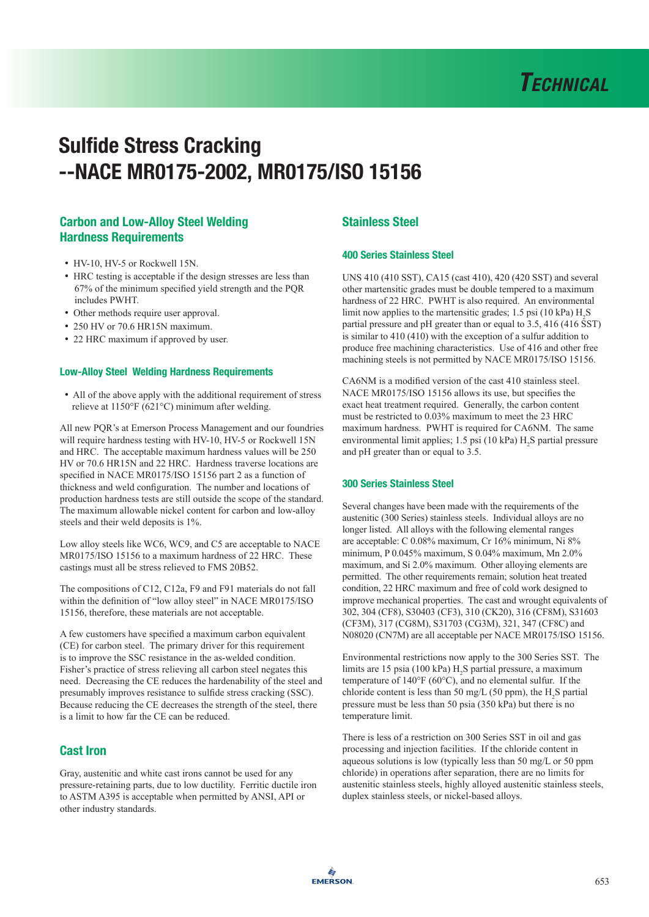

# Carbon and Low-Alloy Steel Welding Hardness Requirements

- HV-10, HV-5 or Rockwell 15N.
- HRC testing is acceptable if the design stresses are less than 67% of the minimum specified yield strength and the PQR includes PWHT.
- Other methods require user approval.
- 250 HV or 70.6 HR15N maximum.
- 22 HRC maximum if approved by user.

#### Low-Alloy Steel Welding Hardness Requirements

• All of the above apply with the additional requirement of stress relieve at 1150°F (621°C) minimum after welding.

All new PQR's at Emerson Process Management and our foundries will require hardness testing with HV-10, HV-5 or Rockwell 15N and HRC. The acceptable maximum hardness values will be 250 HV or 70.6 HR15N and 22 HRC. Hardness traverse locations are specified in NACE MR0175/ISO 15156 part 2 as a function of thickness and weld configuration. The number and locations of production hardness tests are still outside the scope of the standard. The maximum allowable nickel content for carbon and low-alloy steels and their weld deposits is 1%.

Low alloy steels like WC6, WC9, and C5 are acceptable to NACE MR0175/ISO 15156 to a maximum hardness of 22 HRC. These castings must all be stress relieved to FMS 20B52.

The compositions of C12, C12a, F9 and F91 materials do not fall within the definition of "low alloy steel" in NACE MR0175/ISO 15156, therefore, these materials are not acceptable.

A few customers have specified a maximum carbon equivalent (CE) for carbon steel. The primary driver for this requirement is to improve the SSC resistance in the as-welded condition. Fisher's practice of stress relieving all carbon steel negates this need. Decreasing the CE reduces the hardenability of the steel and presumably improves resistance to sulfide stress cracking (SSC). Because reducing the CE decreases the strength of the steel, there is a limit to how far the CE can be reduced.

## Cast Iron

Gray, austenitic and white cast irons cannot be used for any pressure-retaining parts, due to low ductility. Ferritic ductile iron to ASTM A395 is acceptable when permitted by ANSI, API or other industry standards.

# Stainless Steel

### 400 Series Stainless Steel

UNS 410 (410 SST), CA15 (cast 410), 420 (420 SST) and several other martensitic grades must be double tempered to a maximum hardness of 22 HRC. PWHT is also required. An environmental limit now applies to the martensitic grades; 1.5 psi (10 kPa)  $H_2S$ partial pressure and pH greater than or equal to 3.5, 416 (416 SST) is similar to 410 (410) with the exception of a sulfur addition to produce free machining characteristics. Use of 416 and other free machining steels is not permitted by NACE MR0175/ISO 15156.

CA6NM is a modified version of the cast 410 stainless steel. NACE MR0175/ISO 15156 allows its use, but specifies the exact heat treatment required. Generally, the carbon content must be restricted to 0.03% maximum to meet the 23 HRC maximum hardness. PWHT is required for CA6NM. The same environmental limit applies;  $1.5$  psi ( $10$  kPa)  $H<sub>2</sub>S$  partial pressure and pH greater than or equal to 3.5.

### 300 Series Stainless Steel

Several changes have been made with the requirements of the austenitic (300 Series) stainless steels. Individual alloys are no longer listed. All alloys with the following elemental ranges are acceptable: C 0.08% maximum, Cr 16% minimum, Ni 8% minimum, P 0.045% maximum, S 0.04% maximum, Mn 2.0% maximum, and Si 2.0% maximum. Other alloying elements are permitted. The other requirements remain; solution heat treated condition, 22 HRC maximum and free of cold work designed to improve mechanical properties. The cast and wrought equivalents of 302, 304 (CF8), S30403 (CF3), 310 (CK20), 316 (CF8M), S31603 (CF3M), 317 (CG8M), S31703 (CG3M), 321, 347 (CF8C) and N08020 (CN7M) are all acceptable per NACE MR0175/ISO 15156.

Environmental restrictions now apply to the 300 Series SST. The limits are 15 psia (100 kPa)  $H_2S$  partial pressure, a maximum temperature of 140°F (60°C), and no elemental sulfur. If the chloride content is less than 50 mg/L (50 ppm), the  $H_2S$  partial pressure must be less than 50 psia (350 kPa) but there is no temperature limit.

There is less of a restriction on 300 Series SST in oil and gas processing and injection facilities. If the chloride content in aqueous solutions is low (typically less than 50 mg/L or 50 ppm chloride) in operations after separation, there are no limits for austenitic stainless steels, highly alloyed austenitic stainless steels, duplex stainless steels, or nickel-based alloys.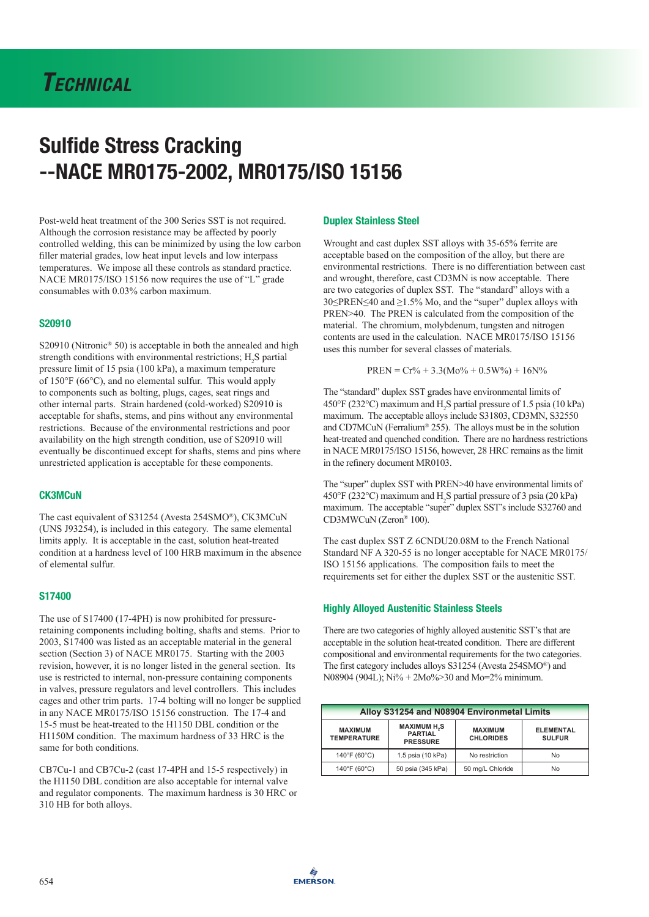Post-weld heat treatment of the 300 Series SST is not required. Although the corrosion resistance may be affected by poorly controlled welding, this can be minimized by using the low carbon filler material grades, low heat input levels and low interpass temperatures. We impose all these controls as standard practice. NACE MR0175/ISO 15156 now requires the use of "L" grade consumables with 0.03% carbon maximum.

### S20910

S20910 (Nitronic<sup>®</sup> 50) is acceptable in both the annealed and high strength conditions with environmental restrictions;  $H_2S$  partial pressure limit of 15 psia (100 kPa), a maximum temperature of 150°F (66°C), and no elemental sulfur. This would apply to components such as bolting, plugs, cages, seat rings and other internal parts. Strain hardened (cold-worked) S20910 is acceptable for shafts, stems, and pins without any environmental restrictions. Because of the environmental restrictions and poor availability on the high strength condition, use of S20910 will eventually be discontinued except for shafts, stems and pins where unrestricted application is acceptable for these components.

### **CK3MCuN**

The cast equivalent of S31254 (Avesta 254SMO®), CK3MCuN (UNS J93254), is included in this category. The same elemental limits apply. It is acceptable in the cast, solution heat-treated condition at a hardness level of 100 HRB maximum in the absence of elemental sulfur.

### S17400

The use of S17400 (17-4PH) is now prohibited for pressureretaining components including bolting, shafts and stems. Prior to 2003, S17400 was listed as an acceptable material in the general section (Section 3) of NACE MR0175. Starting with the 2003 revision, however, it is no longer listed in the general section. Its use is restricted to internal, non-pressure containing components in valves, pressure regulators and level controllers. This includes cages and other trim parts. 17-4 bolting will no longer be supplied in any NACE MR0175/ISO 15156 construction. The 17-4 and 15-5 must be heat-treated to the H1150 DBL condition or the H1150M condition. The maximum hardness of 33 HRC is the same for both conditions.

CB7Cu-1 and CB7Cu-2 (cast 17-4PH and 15-5 respectively) in the H1150 DBL condition are also acceptable for internal valve and regulator components. The maximum hardness is 30 HRC or 310 HB for both alloys.

### Duplex Stainless Steel

Wrought and cast duplex SST alloys with 35-65% ferrite are acceptable based on the composition of the alloy, but there are environmental restrictions. There is no differentiation between cast and wrought, therefore, cast CD3MN is now acceptable. There are two categories of duplex SST. The "standard" alloys with a 30≤PREN≤40 and ≥1.5% Mo, and the "super" duplex alloys with PREN>40. The PREN is calculated from the composition of the material. The chromium, molybdenum, tungsten and nitrogen contents are used in the calculation. NACE MR0175/ISO 15156 uses this number for several classes of materials.

$$
PREN = Cr\% + 3.3(Mo\% + 0.5W\%) + 16N\%
$$

The "standard" duplex SST grades have environmental limits of 450°F (232°C) maximum and  $H_2S$  partial pressure of 1.5 psia (10 kPa) maximum. The acceptable alloys include S31803, CD3MN, S32550 and CD7MCuN (Ferralium® 255). The alloys must be in the solution heat-treated and quenched condition. There are no hardness restrictions in NACE MR0175/ISO 15156, however, 28 HRC remains as the limit in the refinery document MR0103.

The "super" duplex SST with PREN>40 have environmental limits of 450°F (232°C) maximum and H<sup>2</sup> S partial pressure of 3 psia (20 kPa) maximum. The acceptable "super" duplex SST's include S32760 and CD3MWCuN (Zeron® 100).

The cast duplex SST Z 6CNDU20.08M to the French National Standard NF A 320-55 is no longer acceptable for NACE MR0175/ ISO 15156 applications. The composition fails to meet the requirements set for either the duplex SST or the austenitic SST.

### Highly Alloyed Austenitic Stainless Steels

There are two categories of highly alloyed austenitic SST's that are acceptable in the solution heat-treated condition. There are different compositional and environmental requirements for the two categories. The first category includes alloys S31254 (Avesta 254SMO®) and N08904 (904L); Ni% + 2Mo%>30 and Mo=2% minimum.

| Alloy S31254 and N08904 Environmetal Limits |                                                                    |                                    |                                   |  |
|---------------------------------------------|--------------------------------------------------------------------|------------------------------------|-----------------------------------|--|
| <b>MAXIMUM</b><br><b>TEMPERATURE</b>        | <b>MAXIMUM H<sub>2</sub>S</b><br><b>PARTIAL</b><br><b>PRESSURE</b> | <b>MAXIMUM</b><br><b>CHLORIDES</b> | <b>ELEMENTAL</b><br><b>SULFUR</b> |  |
| $140^{\circ}$ F (60 $^{\circ}$ C)           | 1.5 psia (10 kPa)                                                  | No restriction                     | <b>No</b>                         |  |
| $140^{\circ}$ F (60 $^{\circ}$ C)           | 50 psia (345 kPa)                                                  | 50 mg/L Chloride                   | No                                |  |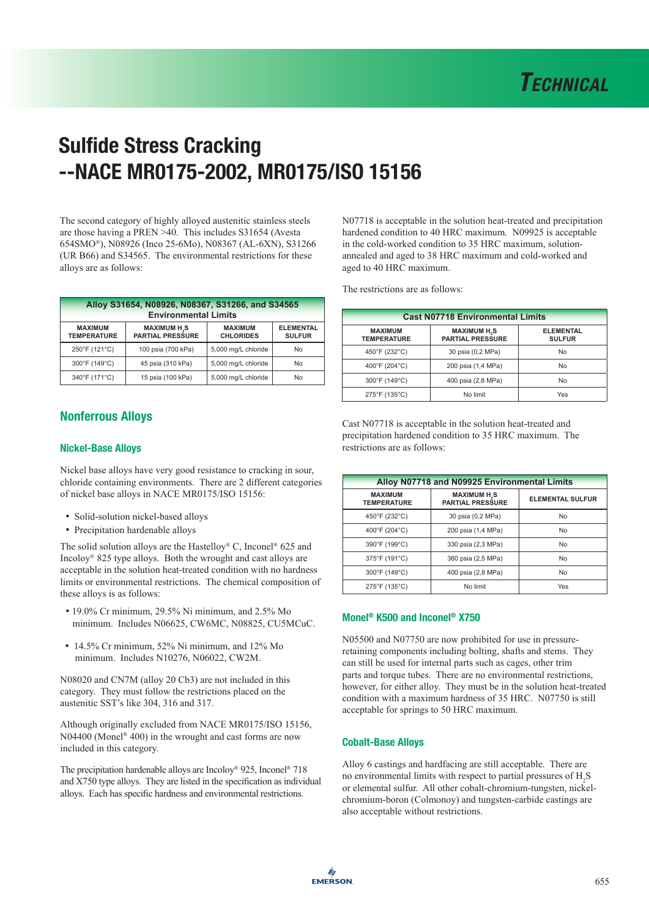The second category of highly alloyed austenitic stainless steels are those having a PREN >40. This includes S31654 (Avesta 654SMO®), N08926 (Inco 25-6Mo), N08367 (AL-6XN), S31266 (UR B66) and S34565. The environmental restrictions for these alloys are as follows:

| Alloy S31654, N08926, N08367, S31266, and S34565<br><b>Environmental Limits</b> |                                                          |                                    |                                   |  |  |
|---------------------------------------------------------------------------------|----------------------------------------------------------|------------------------------------|-----------------------------------|--|--|
| <b>MAXIMUM</b><br><b>TEMPERATURE</b>                                            | <b>MAXIMUM H<sub>2</sub>S</b><br><b>PARTIAL PRESSURE</b> | <b>MAXIMUM</b><br><b>CHLORIDES</b> | <b>ELEMENTAL</b><br><b>SULFUR</b> |  |  |
| 250°F (121°C)                                                                   | 100 psia (700 kPa)                                       | 5,000 mg/L chloride                | No                                |  |  |
| 300°F (149°C)                                                                   | 45 psia (310 kPa)                                        | 5,000 mg/L chloride                | No                                |  |  |
| 340°F (171°C)                                                                   | 15 psia (100 kPa)                                        | 5,000 mg/L chloride                | No                                |  |  |

# Nonferrous Alloys

### Nickel-Base Alloys

Nickel base alloys have very good resistance to cracking in sour, chloride containing environments. There are 2 different categories of nickel base alloys in NACE MR0175/ISO 15156:

- Solid-solution nickel-based alloys
- Precipitation hardenable alloys

The solid solution alloys are the Hastelloy® C, Inconel<sup>®</sup> 625 and Incoloy® 825 type alloys. Both the wrought and cast alloys are acceptable in the solution heat-treated condition with no hardness limits or environmental restrictions. The chemical composition of these alloys is as follows:

- 19.0% Cr minimum, 29.5% Ni minimum, and 2.5% Mo minimum. Includes N06625, CW6MC, N08825, CU5MCuC.
- 14.5% Cr minimum, 52% Ni minimum, and 12% Mo minimum. Includes N10276, N06022, CW2M.

N08020 and CN7M (alloy 20 Cb3) are not included in this category. They must follow the restrictions placed on the austenitic SST's like 304, 316 and 317.

Although originally excluded from NACE MR0175/ISO 15156, N04400 (Monel® 400) in the wrought and cast forms are now included in this category.

The precipitation hardenable alloys are Incoloy® 925, Inconel® 718 and X750 type alloys. They are listed in the specification as individual alloys. Each has specific hardness and environmental restrictions.

N07718 is acceptable in the solution heat-treated and precipitation hardened condition to 40 HRC maximum. N09925 is acceptable in the cold-worked condition to 35 HRC maximum, solutionannealed and aged to 38 HRC maximum and cold-worked and aged to 40 HRC maximum.

The restrictions are as follows:

| <b>Cast N07718 Environmental Limits</b> |                                                          |                                   |  |  |
|-----------------------------------------|----------------------------------------------------------|-----------------------------------|--|--|
| <b>MAXIMUM</b><br><b>TEMPERATURE</b>    | <b>MAXIMUM H<sub>2</sub>S</b><br><b>PARTIAL PRESSURE</b> | <b>ELEMENTAL</b><br><b>SULFUR</b> |  |  |
| 450°F (232°C)                           | 30 psia (0,2 MPa)                                        | No                                |  |  |
| 400°F (204°C)                           | 200 psia (1,4 MPa)                                       | No                                |  |  |
| 300°F (149°C)                           | 400 psia (2,8 MPa)                                       | No                                |  |  |
| 275°F (135°C)                           | No limit                                                 | Yes                               |  |  |

Cast N07718 is acceptable in the solution heat-treated and precipitation hardened condition to 35 HRC maximum. The restrictions are as follows:

| Alloy N07718 and N09925 Environmental Limits |                                                   |                         |  |  |
|----------------------------------------------|---------------------------------------------------|-------------------------|--|--|
| <b>MAXIMUM</b><br><b>TEMPERATURE</b>         | <b>MAXIMUM H<sub>2</sub>S</b><br>PARTIAL PRESSURE | <b>ELEMENTAL SULFUR</b> |  |  |
| 450°F (232°C)                                | 30 psia (0,2 MPa)                                 | No                      |  |  |
| 400°F (204°C)                                | 200 psia (1,4 MPa)                                | No                      |  |  |
| 390°F (199°C)                                | 330 psia (2,3 MPa)                                | No                      |  |  |
| 375°F (191°C)                                | 360 psia (2,5 MPa)                                | No                      |  |  |
| 300°F (149°C)                                | 400 psia (2,8 MPa)                                | No                      |  |  |
| 275°F (135°C)                                | No limit                                          | Yes                     |  |  |

## Monel® K500 and Inconel® X750

N05500 and N07750 are now prohibited for use in pressureretaining components including bolting, shafts and stems. They can still be used for internal parts such as cages, other trim parts and torque tubes. There are no environmental restrictions, however, for either alloy. They must be in the solution heat-treated condition with a maximum hardness of 35 HRC. N07750 is still acceptable for springs to 50 HRC maximum.

### Cobalt-Base Alloys

Alloy 6 castings and hardfacing are still acceptable. There are no environmental limits with respect to partial pressures of  $H_2S$ or elemental sulfur. All other cobalt-chromium-tungsten, nickelchromium-boron (Colmonoy) and tungsten-carbide castings are also acceptable without restrictions.

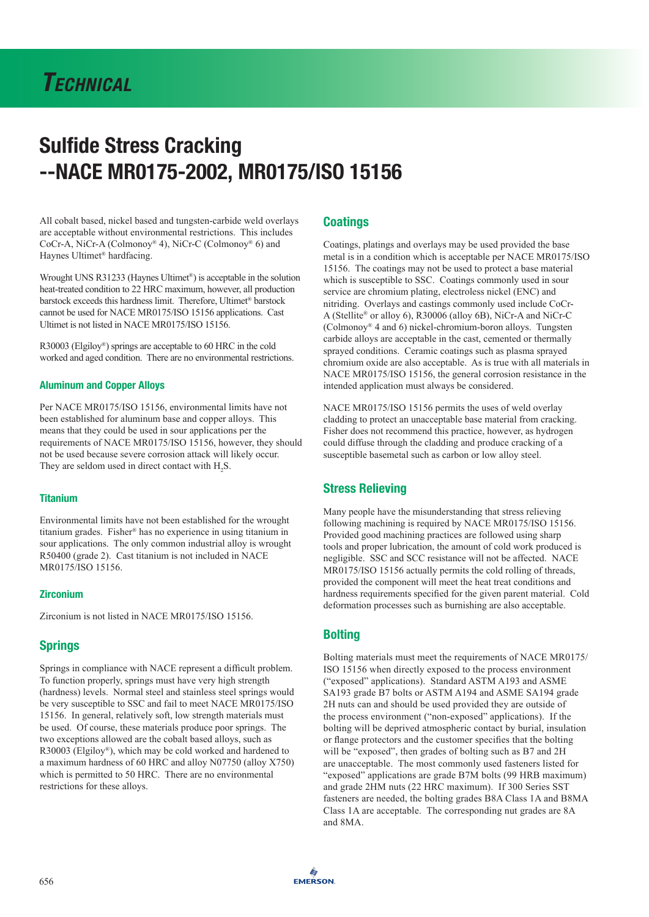All cobalt based, nickel based and tungsten-carbide weld overlays are acceptable without environmental restrictions. This includes CoCr-A, NiCr-A (Colmonoy® 4), NiCr-C (Colmonoy® 6) and Haynes Ultimet® hardfacing.

Wrought UNS R31233 (Haynes Ultimet®) is acceptable in the solution heat-treated condition to 22 HRC maximum, however, all production barstock exceeds this hardness limit. Therefore, Ultimet® barstock cannot be used for NACE MR0175/ISO 15156 applications. Cast Ultimet is not listed in NACE MR0175/ISO 15156.

R30003 (Elgiloy®) springs are acceptable to 60 HRC in the cold worked and aged condition. There are no environmental restrictions.

### Aluminum and Copper Alloys

Per NACE MR0175/ISO 15156, environmental limits have not been established for aluminum base and copper alloys. This means that they could be used in sour applications per the requirements of NACE MR0175/ISO 15156, however, they should not be used because severe corrosion attack will likely occur. They are seldom used in direct contact with  $H_2S$ .

### Titanium

Environmental limits have not been established for the wrought titanium grades. Fisher® has no experience in using titanium in sour applications. The only common industrial alloy is wrought R50400 (grade 2). Cast titanium is not included in NACE MR0175/ISO 15156.

### **Zirconium**

Zirconium is not listed in NACE MR0175/ISO 15156.

## Springs

Springs in compliance with NACE represent a difficult problem. To function properly, springs must have very high strength (hardness) levels. Normal steel and stainless steel springs would be very susceptible to SSC and fail to meet NACE MR0175/ISO 15156. In general, relatively soft, low strength materials must be used. Of course, these materials produce poor springs. The two exceptions allowed are the cobalt based alloys, such as R30003 (Elgiloy®), which may be cold worked and hardened to a maximum hardness of 60 HRC and alloy N07750 (alloy X750) which is permitted to 50 HRC. There are no environmental restrictions for these alloys.

### **Coatings**

Coatings, platings and overlays may be used provided the base metal is in a condition which is acceptable per NACE MR0175/ISO 15156. The coatings may not be used to protect a base material which is susceptible to SSC. Coatings commonly used in sour service are chromium plating, electroless nickel (ENC) and nitriding. Overlays and castings commonly used include CoCr-A (Stellite® or alloy 6), R30006 (alloy 6B), NiCr-A and NiCr-C (Colmonoy® 4 and 6) nickel-chromium-boron alloys. Tungsten carbide alloys are acceptable in the cast, cemented or thermally sprayed conditions. Ceramic coatings such as plasma sprayed chromium oxide are also acceptable. As is true with all materials in NACE MR0175/ISO 15156, the general corrosion resistance in the intended application must always be considered.

NACE MR0175/ISO 15156 permits the uses of weld overlay cladding to protect an unacceptable base material from cracking. Fisher does not recommend this practice, however, as hydrogen could diffuse through the cladding and produce cracking of a susceptible basemetal such as carbon or low alloy steel.

## Stress Relieving

Many people have the misunderstanding that stress relieving following machining is required by NACE MR0175/ISO 15156. Provided good machining practices are followed using sharp tools and proper lubrication, the amount of cold work produced is negligible. SSC and SCC resistance will not be affected. NACE MR0175/ISO 15156 actually permits the cold rolling of threads, provided the component will meet the heat treat conditions and hardness requirements specified for the given parent material. Cold deformation processes such as burnishing are also acceptable.

# **Bolting**

Bolting materials must meet the requirements of NACE MR0175/ ISO 15156 when directly exposed to the process environment ("exposed" applications). Standard ASTM A193 and ASME SA193 grade B7 bolts or ASTM A194 and ASME SA194 grade 2H nuts can and should be used provided they are outside of the process environment ("non-exposed" applications). If the bolting will be deprived atmospheric contact by burial, insulation or flange protectors and the customer specifies that the bolting will be "exposed", then grades of bolting such as B7 and 2H are unacceptable. The most commonly used fasteners listed for "exposed" applications are grade B7M bolts (99 HRB maximum) and grade 2HM nuts (22 HRC maximum). If 300 Series SST fasteners are needed, the bolting grades B8A Class 1A and B8MA Class 1A are acceptable. The corresponding nut grades are 8A and 8MA.

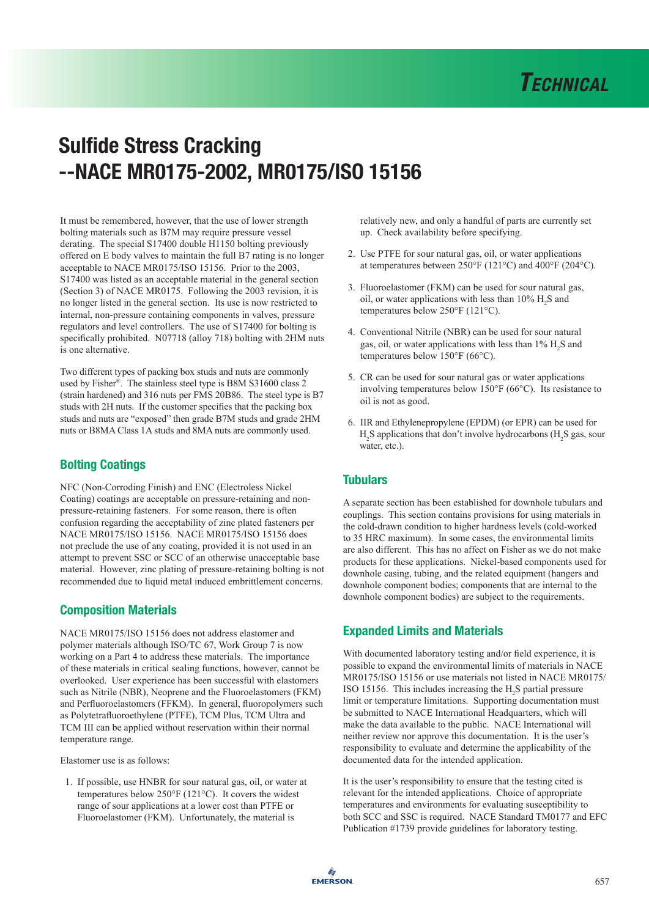

It must be remembered, however, that the use of lower strength bolting materials such as B7M may require pressure vessel derating. The special S17400 double H1150 bolting previously offered on E body valves to maintain the full B7 rating is no longer acceptable to NACE MR0175/ISO 15156. Prior to the 2003, S17400 was listed as an acceptable material in the general section (Section 3) of NACE MR0175. Following the 2003 revision, it is no longer listed in the general section. Its use is now restricted to internal, non-pressure containing components in valves, pressure regulators and level controllers. The use of S17400 for bolting is specifically prohibited. N07718 (alloy 718) bolting with 2HM nuts is one alternative.

Two different types of packing box studs and nuts are commonly used by Fisher®. The stainless steel type is B8M S31600 class 2 (strain hardened) and 316 nuts per FMS 20B86. The steel type is B7 studs with 2H nuts. If the customer specifies that the packing box studs and nuts are "exposed" then grade B7M studs and grade 2HM nuts or B8MA Class 1A studs and 8MA nuts are commonly used.

# Bolting Coatings

NFC (Non-Corroding Finish) and ENC (Electroless Nickel Coating) coatings are acceptable on pressure-retaining and nonpressure-retaining fasteners. For some reason, there is often confusion regarding the acceptability of zinc plated fasteners per NACE MR0175/ISO 15156. NACE MR0175/ISO 15156 does not preclude the use of any coating, provided it is not used in an attempt to prevent SSC or SCC of an otherwise unacceptable base material. However, zinc plating of pressure-retaining bolting is not recommended due to liquid metal induced embrittlement concerns.

## Composition Materials

NACE MR0175/ISO 15156 does not address elastomer and polymer materials although ISO/TC 67, Work Group 7 is now working on a Part 4 to address these materials. The importance of these materials in critical sealing functions, however, cannot be overlooked. User experience has been successful with elastomers such as Nitrile (NBR), Neoprene and the Fluoroelastomers (FKM) and Perfluoroelastomers (FFKM). In general, fluoropolymers such as Polytetrafluoroethylene (PTFE), TCM Plus, TCM Ultra and TCM III can be applied without reservation within their normal temperature range.

Elastomer use is as follows:

1. If possible, use HNBR for sour natural gas, oil, or water at temperatures below 250°F (121°C). It covers the widest range of sour applications at a lower cost than PTFE or Fluoroelastomer (FKM). Unfortunately, the material is

 relatively new, and only a handful of parts are currently set up. Check availability before specifying.

- 2. Use PTFE for sour natural gas, oil, or water applications at temperatures between 250°F (121°C) and 400°F (204°C).
- 3. Fluoroelastomer (FKM) can be used for sour natural gas, oil, or water applications with less than  $10\%$  H<sub>2</sub>S and temperatures below 250°F (121°C).
- 4. Conventional Nitrile (NBR) can be used for sour natural gas, oil, or water applications with less than  $1\%$  H<sub>2</sub>S and temperatures below 150°F (66°C).
- 5. CR can be used for sour natural gas or water applications involving temperatures below 150°F (66°C). Its resistance to oil is not as good.
- 6. IIR and Ethylenepropylene (EPDM) (or EPR) can be used for  $H_2$ S applications that don't involve hydrocarbons ( $H_2$ S gas, sour water, etc.).

## **Tubulars**

A separate section has been established for downhole tubulars and couplings. This section contains provisions for using materials in the cold-drawn condition to higher hardness levels (cold-worked to 35 HRC maximum). In some cases, the environmental limits are also different. This has no affect on Fisher as we do not make products for these applications. Nickel-based components used for downhole casing, tubing, and the related equipment (hangers and downhole component bodies; components that are internal to the downhole component bodies) are subject to the requirements.

# Expanded Limits and Materials

With documented laboratory testing and/or field experience, it is possible to expand the environmental limits of materials in NACE MR0175/ISO 15156 or use materials not listed in NACE MR0175/ ISO 15156. This includes increasing the  $H_2S$  partial pressure limit or temperature limitations. Supporting documentation must be submitted to NACE International Headquarters, which will make the data available to the public. NACE International will neither review nor approve this documentation. It is the user's responsibility to evaluate and determine the applicability of the documented data for the intended application.

It is the user's responsibility to ensure that the testing cited is relevant for the intended applications. Choice of appropriate temperatures and environments for evaluating susceptibility to both SCC and SSC is required. NACE Standard TM0177 and EFC Publication #1739 provide guidelines for laboratory testing.